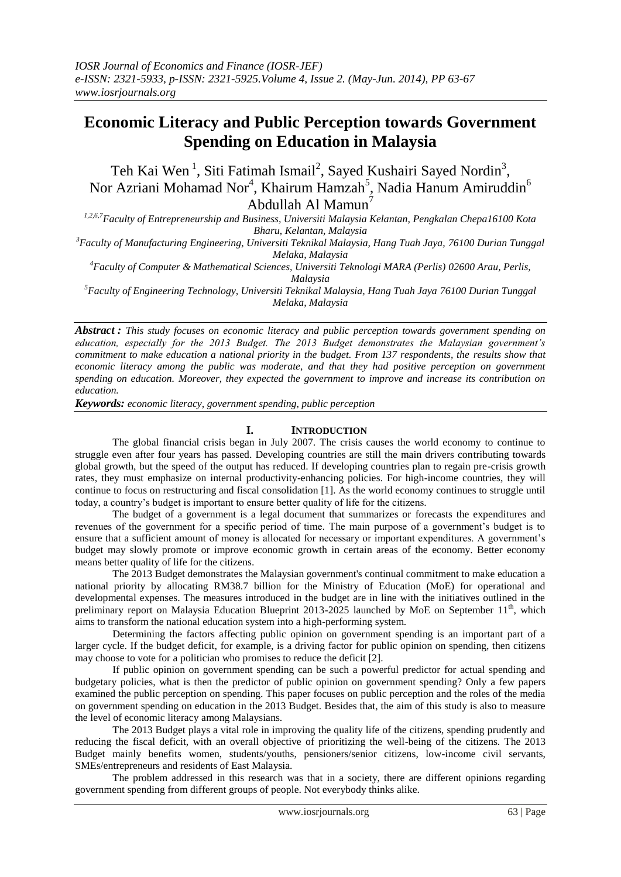# **Economic Literacy and Public Perception towards Government Spending on Education in Malaysia**

Teh Kai Wen<sup>1</sup>, Siti Fatimah Ismail<sup>2</sup>, Sayed Kushairi Sayed Nordin<sup>3</sup>, Nor Azriani Mohamad Nor $^4$ , Khairum Hamzah $^5$ , Nadia Hanum Amiruddin $^6$ Abdullah Al Mamun<sup>7</sup>

*1,2,6,7Faculty of Entrepreneurship and Business, Universiti Malaysia Kelantan, Pengkalan Chepa16100 Kota Bharu, Kelantan, Malaysia*

*<sup>3</sup>Faculty of Manufacturing Engineering, Universiti Teknikal Malaysia, Hang Tuah Jaya, 76100 Durian Tunggal Melaka, Malaysia*

*<sup>4</sup>Faculty of Computer & Mathematical Sciences, Universiti Teknologi MARA (Perlis) 02600 Arau, Perlis,* 

*Malaysia*

*<sup>5</sup>Faculty of Engineering Technology, Universiti Teknikal Malaysia, Hang Tuah Jaya 76100 Durian Tunggal Melaka, Malaysia*

*Abstract : This study focuses on economic literacy and public perception towards government spending on education, especially for the 2013 Budget. The 2013 Budget demonstrates the Malaysian government's commitment to make education a national priority in the budget. From 137 respondents, the results show that economic literacy among the public was moderate, and that they had positive perception on government spending on education. Moreover, they expected the government to improve and increase its contribution on education.*

*Keywords: economic literacy, government spending, public perception*

# **I. INTRODUCTION**

The global financial crisis began in July 2007. The crisis causes the world economy to continue to struggle even after four years has passed. Developing countries are still the main drivers contributing towards global growth, but the speed of the output has reduced. If developing countries plan to regain pre-crisis growth rates, they must emphasize on internal productivity-enhancing policies. For high-income countries, they will continue to focus on restructuring and fiscal consolidation [1]. As the world economy continues to struggle until today, a country's budget is important to ensure better quality of life for the citizens.

The budget of a government is a legal document that summarizes or forecasts the expenditures and revenues of the government for a specific period of time. The main purpose of a government's budget is to ensure that a sufficient amount of money is allocated for necessary or important expenditures. A government's budget may slowly promote or improve economic growth in certain areas of the economy. Better economy means better quality of life for the citizens.

The 2013 Budget demonstrates the Malaysian government's continual commitment to make education a national priority by allocating RM38.7 billion for the Ministry of Education (MoE) for operational and developmental expenses. The measures introduced in the budget are in line with the initiatives outlined in the preliminary report on Malaysia Education Blueprint 2013-2025 launched by MoE on September 11<sup>th</sup>, which aims to transform the national education system into a high-performing system.

Determining the factors affecting public opinion on government spending is an important part of a larger cycle. If the budget deficit, for example, is a driving factor for public opinion on spending, then citizens may choose to vote for a politician who promises to reduce the deficit [2].

If public opinion on government spending can be such a powerful predictor for actual spending and budgetary policies, what is then the predictor of public opinion on government spending? Only a few papers examined the public perception on spending. This paper focuses on public perception and the roles of the media on government spending on education in the 2013 Budget. Besides that, the aim of this study is also to measure the level of economic literacy among Malaysians.

The 2013 Budget plays a vital role in improving the quality life of the citizens, spending prudently and reducing the fiscal deficit, with an overall objective of prioritizing the well-being of the citizens. The 2013 Budget mainly benefits women, students/youths, pensioners/senior citizens, low-income civil servants, SMEs/entrepreneurs and residents of East Malaysia.

The problem addressed in this research was that in a society, there are different opinions regarding government spending from different groups of people. Not everybody thinks alike.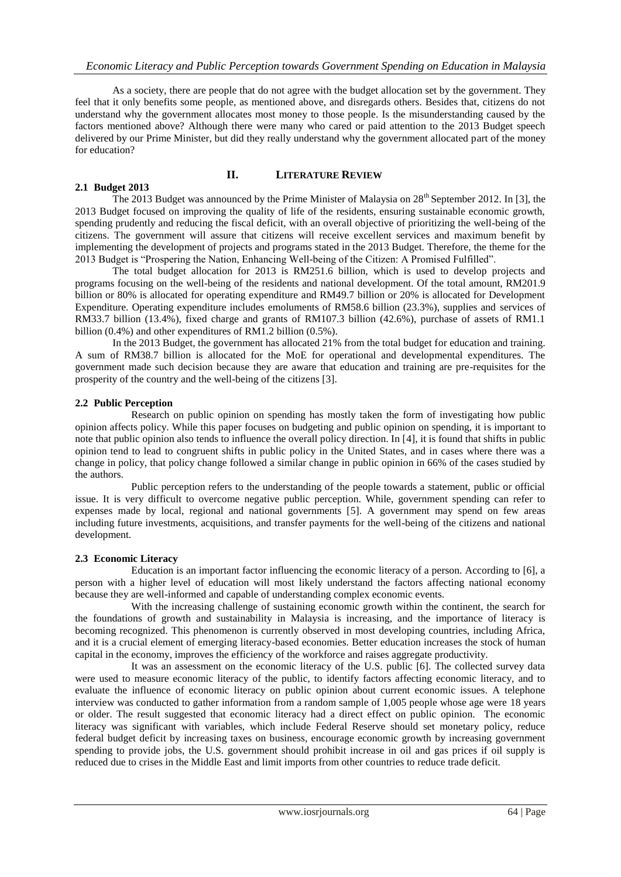As a society, there are people that do not agree with the budget allocation set by the government. They feel that it only benefits some people, as mentioned above, and disregards others. Besides that, citizens do not understand why the government allocates most money to those people. Is the misunderstanding caused by the factors mentioned above? Although there were many who cared or paid attention to the 2013 Budget speech delivered by our Prime Minister, but did they really understand why the government allocated part of the money for education?

## **II. LITERATURE REVIEW**

**2.1 Budget 2013** The 2013 Budget was announced by the Prime Minister of Malaysia on 28<sup>th</sup> September 2012. In [3], the 2013 Budget focused on improving the quality of life of the residents, ensuring sustainable economic growth, spending prudently and reducing the fiscal deficit, with an overall objective of prioritizing the well-being of the citizens. The government will assure that citizens will receive excellent services and maximum benefit by implementing the development of projects and programs stated in the 2013 Budget. Therefore, the theme for the 2013 Budget is "Prospering the Nation, Enhancing Well-being of the Citizen: A Promised Fulfilled".

The total budget allocation for 2013 is RM251.6 billion, which is used to develop projects and programs focusing on the well-being of the residents and national development. Of the total amount, RM201.9 billion or 80% is allocated for operating expenditure and RM49.7 billion or 20% is allocated for Development Expenditure. Operating expenditure includes emoluments of RM58.6 billion (23.3%), supplies and services of RM33.7 billion (13.4%), fixed charge and grants of RM107.3 billion (42.6%), purchase of assets of RM1.1 billion (0.4%) and other expenditures of RM1.2 billion (0.5%).

In the 2013 Budget, the government has allocated 21% from the total budget for education and training. A sum of RM38.7 billion is allocated for the MoE for operational and developmental expenditures. The government made such decision because they are aware that education and training are pre-requisites for the prosperity of the country and the well-being of the citizens [3].

### **2.2 Public Perception**

Research on public opinion on spending has mostly taken the form of investigating how public opinion affects policy. While this paper focuses on budgeting and public opinion on spending, it is important to note that public opinion also tends to influence the overall policy direction. In [4], it is found that shifts in public opinion tend to lead to congruent shifts in public policy in the United States, and in cases where there was a change in policy, that policy change followed a similar change in public opinion in 66% of the cases studied by the authors.

Public perception refers to the understanding of the people towards a statement, public or official issue. It is very difficult to overcome negative public perception. While, government spending can refer to expenses made by local, regional and national governments [5]. A government may spend on few areas including future investments, acquisitions, and transfer payments for the well-being of the citizens and national development.

#### **2.3 Economic Literacy**

Education is an important factor influencing the economic literacy of a person. According to [6], a person with a higher level of education will most likely understand the factors affecting national economy because they are well-informed and capable of understanding complex economic events.

With the increasing challenge of sustaining economic growth within the continent, the search for the foundations of growth and sustainability in Malaysia is increasing, and the importance of literacy is becoming recognized. This phenomenon is currently observed in most developing countries, including Africa, and it is a crucial element of emerging literacy-based economies. Better education increases the stock of human capital in the economy, improves the efficiency of the workforce and raises aggregate productivity.

It was an assessment on the economic literacy of the U.S. public [6]. The collected survey data were used to measure economic literacy of the public, to identify factors affecting economic literacy, and to evaluate the influence of economic literacy on public opinion about current economic issues. A telephone interview was conducted to gather information from a random sample of 1,005 people whose age were 18 years or older. The result suggested that economic literacy had a direct effect on public opinion. The economic literacy was significant with variables, which include Federal Reserve should set monetary policy, reduce federal budget deficit by increasing taxes on business, encourage economic growth by increasing government spending to provide jobs, the U.S. government should prohibit increase in oil and gas prices if oil supply is reduced due to crises in the Middle East and limit imports from other countries to reduce trade deficit.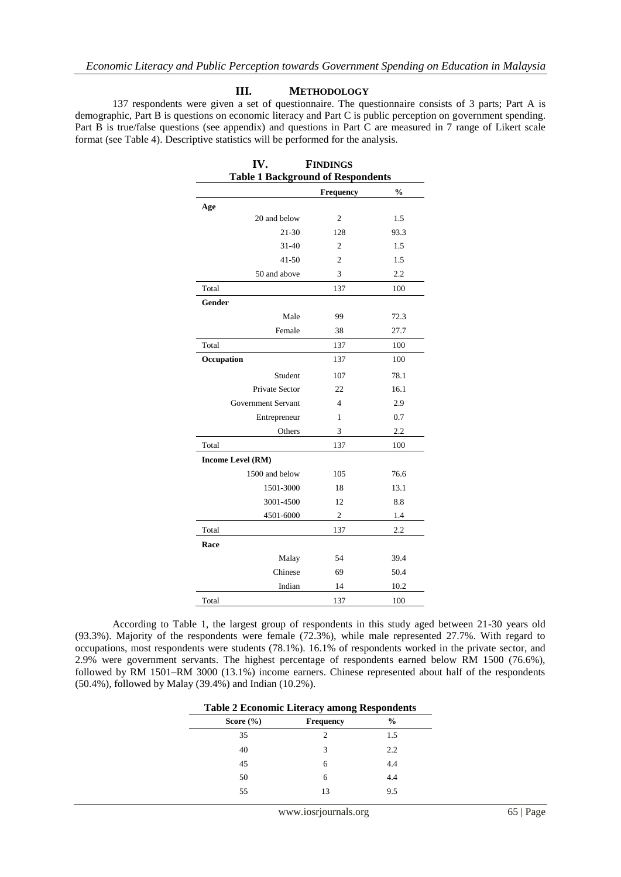#### **III. METHODOLOGY**

137 respondents were given a set of questionnaire. The questionnaire consists of 3 parts; Part A is demographic, Part B is questions on economic literacy and Part C is public perception on government spending. Part B is true/false questions (see appendix) and questions in Part C are measured in 7 range of Likert scale format (see Table 4). Descriptive statistics will be performed for the analysis.

| IV.                                      | <b>FINDINGS</b> |                                    |
|------------------------------------------|-----------------|------------------------------------|
| <b>Table 1 Background of Respondents</b> |                 |                                    |
|                                          | Frequency       | $\mathbf{0}_{\mathbf{0}}^{\prime}$ |
| Age                                      |                 |                                    |
| 20 and below                             | 2               | 1.5                                |
| 21-30                                    | 128             | 93.3                               |
| $31 - 40$                                | $\mathfrak{2}$  | 1.5                                |
| $41 - 50$                                | $\overline{c}$  | 1.5                                |
| 50 and above                             | 3               | 2.2                                |
| Total                                    | 137             | 100                                |
| Gender                                   |                 |                                    |
| Male                                     | 99              | 72.3                               |
| Female                                   | 38              | 27.7                               |
| Total                                    | 137             | 100                                |
| Occupation                               | 137             | 100                                |
| Student                                  | 107             | 78.1                               |
| <b>Private Sector</b>                    | 22              | 16.1                               |
| Government Servant                       | $\overline{4}$  | 2.9                                |
| Entrepreneur                             | 1               | 0.7                                |
| Others                                   | 3               | 2.2                                |
| Total                                    | 137             | 100                                |
| <b>Income Level (RM)</b>                 |                 |                                    |
| 1500 and below                           | 105             | 76.6                               |
| 1501-3000                                | 18              | 13.1                               |
| 3001-4500                                | 12              | 8.8                                |
| 4501-6000                                | $\mathfrak{2}$  | 1.4                                |
| Total                                    | 137             | 2.2                                |
| Race                                     |                 |                                    |
| Malay                                    | 54              | 39.4                               |
| Chinese                                  | 69              | 50.4                               |
| Indian                                   | 14              | 10.2                               |
| Total                                    | 137             | 100                                |

According to Table 1, the largest group of respondents in this study aged between 21-30 years old (93.3%). Majority of the respondents were female (72.3%), while male represented 27.7%. With regard to occupations, most respondents were students (78.1%). 16.1% of respondents worked in the private sector, and 2.9% were government servants. The highest percentage of respondents earned below RM 1500 (76.6%), followed by RM 1501–RM 3000 (13.1%) income earners. Chinese represented about half of the respondents (50.4%), followed by Malay (39.4%) and Indian (10.2%).

| Score $(\% )$ | <b>Frequency</b> | $\frac{6}{9}$ |
|---------------|------------------|---------------|
| 35            | $\mathfrak{D}$   | 1.5           |
| 40            | 3                | 2.2           |
| 45            | 6                | 4.4           |
| 50            | 6                | 4.4           |
| 55            | 13               | 9.5           |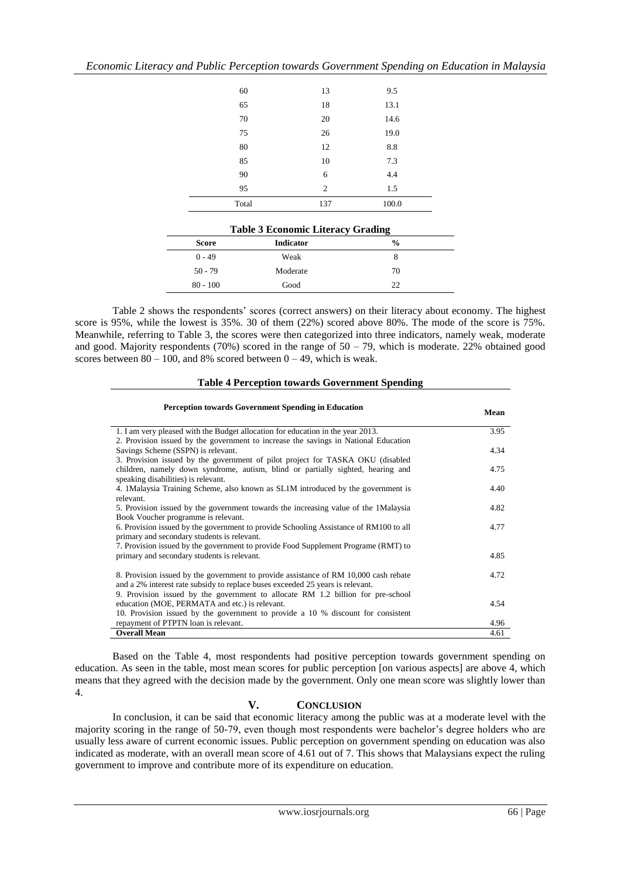|              | 60               | 13                                       | 9.5           |  |
|--------------|------------------|------------------------------------------|---------------|--|
|              | 65               | 18                                       | 13.1          |  |
|              | 70               | 20                                       | 14.6          |  |
|              | 75               | 26                                       | 19.0          |  |
|              | 80               | 12                                       | 8.8           |  |
|              | 85               | 10                                       | 7.3           |  |
|              | 90               | 6                                        | 4.4           |  |
|              | 95               | $\mathfrak{2}$                           | 1.5           |  |
|              | Total            | 137                                      | 100.0         |  |
|              |                  |                                          |               |  |
|              |                  | <b>Table 3 Economic Literacy Grading</b> |               |  |
| <b>Score</b> | <b>Indicator</b> |                                          | $\frac{0}{0}$ |  |
| $0 - 49$     | Weak             |                                          | 8             |  |
| $50 - 79$    | Moderate         |                                          | 70            |  |
| $80 - 100$   | Good             |                                          | 22            |  |

*Economic Literacy and Public Perception towards Government Spending on Education in Malaysia*

Table 2 shows the respondents' scores (correct answers) on their literacy about economy. The highest score is 95%, while the lowest is 35%. 30 of them (22%) scored above 80%. The mode of the score is 75%. Meanwhile, referring to Table 3, the scores were then categorized into three indicators, namely weak, moderate and good. Majority respondents (70%) scored in the range of  $50 - 79$ , which is moderate. 22% obtained good scores between  $80 - 100$ , and  $8\%$  scored between  $0 - 49$ , which is weak.

| <b>Table 4 Perception towards Government Spending</b> |  |
|-------------------------------------------------------|--|
|-------------------------------------------------------|--|

| <b>Perception towards Government Spending in Education</b>                                       | Mean |
|--------------------------------------------------------------------------------------------------|------|
| 1. I am very pleased with the Budget allocation for education in the year 2013.                  | 3.95 |
| 2. Provision issued by the government to increase the savings in National Education              |      |
| Savings Scheme (SSPN) is relevant.                                                               | 4.34 |
| 3. Provision issued by the government of pilot project for TASKA OKU (disabled)                  |      |
| children, namely down syndrome, autism, blind or partially sighted, hearing and                  | 4.75 |
| speaking disabilities) is relevant.                                                              |      |
| 4. 1 Malaysia Training Scheme, also known as SL1M introduced by the government is                | 4.40 |
| relevant.<br>5. Provision issued by the government towards the increasing value of the 1Malaysia | 4.82 |
| Book Voucher programme is relevant.                                                              |      |
| 6. Provision issued by the government to provide Schooling Assistance of RM100 to all            | 4.77 |
| primary and secondary students is relevant.                                                      |      |
| 7. Provision issued by the government to provide Food Supplement Programe (RMT) to               |      |
| primary and secondary students is relevant.                                                      | 4.85 |
|                                                                                                  |      |
| 8. Provision issued by the government to provide assistance of RM 10,000 cash rebate             | 4.72 |
| and a 2% interest rate subsidy to replace buses exceeded 25 years is relevant.                   |      |
| 9. Provision issued by the government to allocate RM 1.2 billion for pre-school                  |      |
| education (MOE, PERMATA and etc.) is relevant.                                                   | 4.54 |
| 10. Provision issued by the government to provide a 10 % discount for consistent                 |      |
| repayment of PTPTN loan is relevant.                                                             | 4.96 |
| <b>Overall Mean</b>                                                                              | 4.61 |

Based on the Table 4, most respondents had positive perception towards government spending on education. As seen in the table, most mean scores for public perception [on various aspects] are above 4, which means that they agreed with the decision made by the government. Only one mean score was slightly lower than 4.

# **V. CONCLUSION**

In conclusion, it can be said that economic literacy among the public was at a moderate level with the majority scoring in the range of 50-79, even though most respondents were bachelor's degree holders who are usually less aware of current economic issues. Public perception on government spending on education was also indicated as moderate, with an overall mean score of 4.61 out of 7. This shows that Malaysians expect the ruling government to improve and contribute more of its expenditure on education.